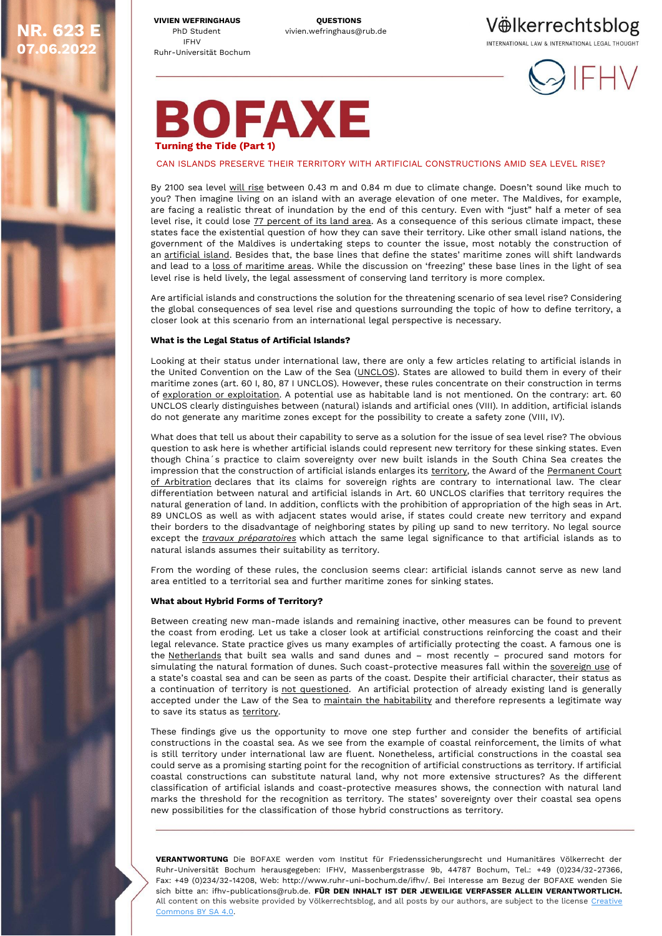**VIVIEN WEFRINGHAUS QUESTIONS** PhD Student vivien.wefringhaus@rub.de IFHV Ruhr-Universität Bochum

**NR. 623 E 07.06.2022**

Völkerrechtsblog

INTERNATIONAL LAW & INTERNATIONAL LEGAL THOUGHT



# **BOFAXE Turning the Tide (Part 1)**

# CAN ISLANDS PRESERVE THEIR TERRITORY WITH ARTIFICIAL CONSTRUCTIONS AMID SEA LEVEL RISE?

By 2100 sea level [will rise](https://www.ipcc.ch/srocc/chapter/chapter-4-sea-level-rise-and-implications-for-low-lying-islands-coasts-and-communities/) between 0.43 m and 0.84 m due to climate change. Doesn't sound like much to you? Then imagine living on an island with an average elevation of one meter. The Maldives, for example, are facing a realistic threat of inundation by the end of this century. Even with "just" half a meter of sea level rise, it could lose [77 percent of its land area.](https://www.climatehotmap.org/global-warming-locations/republic-of-maldives.html) As a consequence of this serious climate impact, these states face the existential question of how they can save their territory. Like other small island nations, the government of the Maldives is undertaking steps to counter the issue, most notably the construction of an [artificial island.](https://archive.aramcoworld.com/issue/200903/raising.the.maldives.htm) Besides that, the base lines that define the states' maritime zones will shift landwards and lead to a [loss of maritime areas](https://www.swp-berlin.org/publications/products/studien/2021S01_meeresspiegelanstieg.pdf). While the discussion on 'freezing' these base lines in the light of sea level rise is held lively, the legal assessment of conserving land territory is more complex.

Are artificial islands and constructions the solution for the threatening scenario of sea level rise? Considering the global consequences of sea level rise and questions surrounding the topic of how to define territory, a closer look at this scenario from an international legal perspective is necessary.

#### **What is the Legal Status of Artificial Islands?**

Looking at their status under international law, there are only a few articles relating to artificial islands in the United Convention on the Law of the Sea [\(UNCLOS\)](https://www.google.com/url?sa=t&rct=j&q=&esrc=s&source=web&cd=&cad=rja&uact=8&ved=2ahUKEwjIs7zt4uP2AhWUlP0HHc2_BHcQFnoECAYQAQ&url=https%3A%2F%2Fwww.un.org%2Fdepts%2Flos%2Fconvention_agreements%2Ftexts%2Funclos%2Funclos_e.pdf&usg=AOvVaw3m2o47nYrcmHai_RFTRDVT). States are allowed to build them in every of their maritime zones (art. 60 I, 80, 87 I UNCLOS). However, these rules concentrate on their construction in terms of [exploration or exploitation.](https://www.blue21.nl/wp-content/uploads/2015/10/Artificial-Islands-in-The-Law-of-the-Sea.pdf) A potential use as habitable land is not mentioned. On the contrary: art. 60 UNCLOS clearly distinguishes between (natural) islands and artificial ones (VIII). In addition, artificial islands do not generate any maritime zones except for the possibility to create a safety zone (VIII, IV).

What does that tell us about their capability to serve as a solution for the issue of sea level rise? The obvious question to ask here is whether artificial islands could represent new territory for these sinking states. Even though China´s practice to claim sovereignty over new built islands in the South China Sea creates the impression that the construction of artificial islands enlarges its [territory,](https://deliverypdf.ssrn.com/delivery.php?ID=865073071082095096105097073109081123118075037049086025106123083112114001098114095103020013021100008051030007124112084103020106051055054015028080066009025013010087056058054093089066100084001104125093125108071115022067121076030067026122115087112005104&EXT=pdf&INDEX=TRUE) the Award of the [Permanent Court](https://pcacases.com/web/sendAttach/2086)  [of Arbitration](https://pcacases.com/web/sendAttach/2086) declares that its claims for sovereign rights are contrary to international law. The clear differentiation between natural and artificial islands in Art. 60 UNCLOS clarifies that territory requires the natural generation of land. In addition, conflicts with the prohibition of appropriation of the high seas in Art. 89 UNCLOS as well as with adjacent states would arise, if states could create new territory and expand their borders to the disadvantage of neighboring states by piling up sand to new territory. No legal source except the *[travaux préparatoires](https://deliverypdf.ssrn.com/delivery.php?ID=375091000096112109065123068075066124060087060080003065108004078109064099104075081073057037122017121015000001064069005093100006029090059021059118014016087080024084058042063025031067074094108008080121099066112067079004127015084015068121007015093124088&EXT=pdf&INDEX=TRUE)* which attach the same legal significance to that artificial islands as to natural islands assumes their suitability as territory.

From the wording of these rules, the conclusion seems clear: artificial islands cannot serve as new land area entitled to a territorial sea and further maritime zones for sinking states.

#### **What about Hybrid Forms of Territory?**

Between creating new man-made islands and remaining inactive, other measures can be found to prevent the coast from eroding. Let us take a closer look at artificial constructions reinforcing the coast and their legal relevance. State practice gives us many examples of artificially protecting the coast. A famous one is the [Netherlands](https://www.businessinsider.com/netherlands-sea-level-rise-climate-change-sand-motor-2017-12) that built sea walls and sand dunes and – most recently – procured sand motors for simulating the natural formation of dunes. Such coast-protective measures fall within the [sovereign use](https://deliverypdf.ssrn.com/delivery.php?ID=720026113081004109127024112083099102019014069017088036022084097118021099072069026100025100029023038019107086117108104028025082042047011052015004017076004004028065029035087041088120001022108118121116001123076081017004024014067107117000065007077031081026&EXT=pdf&INDEX=TRUE) of a state's coastal sea and can be seen as parts of the coast. Despite their artificial character, their status as a continuation of territory is [not questioned.](https://tamug-ir.tdl.org/bitstream/handle/1969.3/27383/10857-Artificial%20Islands%20and%20Installations%20in%20International%20Law.pdf?sequence=1&isAllowed=y) An artificial protection of already existing land is generally accepted under the Law of the Sea to [maintain the habitability](https://www.nomos-elibrary.de/10.5771/9783845242781_615/disappearing-states-harnessing-international-law-to-preserve-cultures-and-society?page=1) and therefore represents a legitimate way to save its status as [territory.](https://ilareporter.org.au/wp-content/uploads/2015/07/Source-1-Baselines-Final-Report-Sofia-2012.pdf)

These findings give us the opportunity to move one step further and consider the benefits of artificial constructions in the coastal sea. As we see from the example of coastal reinforcement, the limits of what is still territory under international law are fluent. Nonetheless, artificial constructions in the coastal sea could serve as a promising starting point for the recognition of artificial constructions as territory. If artificial coastal constructions can substitute natural land, why not more extensive structures? As the different classification of artificial islands and coast-protective measures shows, the connection with natural land marks the threshold for the recognition as territory. The states' sovereignty over their coastal sea opens new possibilities for the classification of those hybrid constructions as territory.

**VERANTWORTUNG** Die BOFAXE werden vom Institut für Friedenssicherungsrecht und Humanitäres Völkerrecht der Ruhr-Universität Bochum herausgegeben: IFHV, Massenbergstrasse 9b, 44787 Bochum, Tel.: +49 (0)234/32-27366, Fax: +49 (0)234/32-14208, Web: http://www.ruhr-uni-bochum.de/ifhv/. Bei Interesse am Bezug der BOFAXE wenden Sie sich bitte an: ifhv-publications@rub.de. **FÜR DEN INHALT IST DER JEWEILIGE VERFASSER ALLEIN VERANTWORTLICH.** All content on this website provided by Völkerrechtsblog, and all posts by our authors, are subject to the license Creative [Commons BY SA 4.0.](https://creativecommons.org/licenses/by-sa/4.0/)